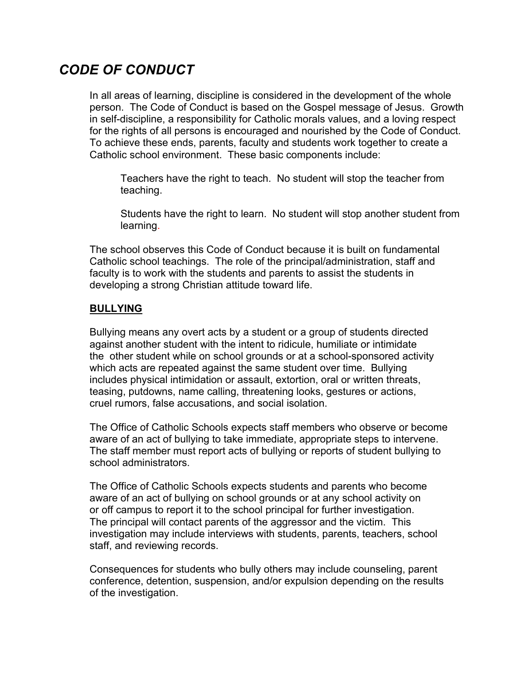## *CODE OF CONDUCT*

In all areas of learning, discipline is considered in the development of the whole person. The Code of Conduct is based on the Gospel message of Jesus. Growth in self-discipline, a responsibility for Catholic morals values, and a loving respect for the rights of all persons is encouraged and nourished by the Code of Conduct. To achieve these ends, parents, faculty and students work together to create a Catholic school environment. These basic components include:

Teachers have the right to teach. No student will stop the teacher from teaching.

Students have the right to learn. No student will stop another student from learning.

The school observes this Code of Conduct because it is built on fundamental Catholic school teachings. The role of the principal/administration, staff and faculty is to work with the students and parents to assist the students in developing a strong Christian attitude toward life.

#### **BULLYING**

Bullying means any overt acts by a student or a group of students directed against another student with the intent to ridicule, humiliate or intimidate the other student while on school grounds or at a school-sponsored activity which acts are repeated against the same student over time. Bullying includes physical intimidation or assault, extortion, oral or written threats, teasing, putdowns, name calling, threatening looks, gestures or actions, cruel rumors, false accusations, and social isolation.

The Office of Catholic Schools expects staff members who observe or become aware of an act of bullying to take immediate, appropriate steps to intervene. The staff member must report acts of bullying or reports of student bullying to school administrators.

The Office of Catholic Schools expects students and parents who become aware of an act of bullying on school grounds or at any school activity on or off campus to report it to the school principal for further investigation. The principal will contact parents of the aggressor and the victim. This investigation may include interviews with students, parents, teachers, school staff, and reviewing records.

Consequences for students who bully others may include counseling, parent conference, detention, suspension, and/or expulsion depending on the results of the investigation.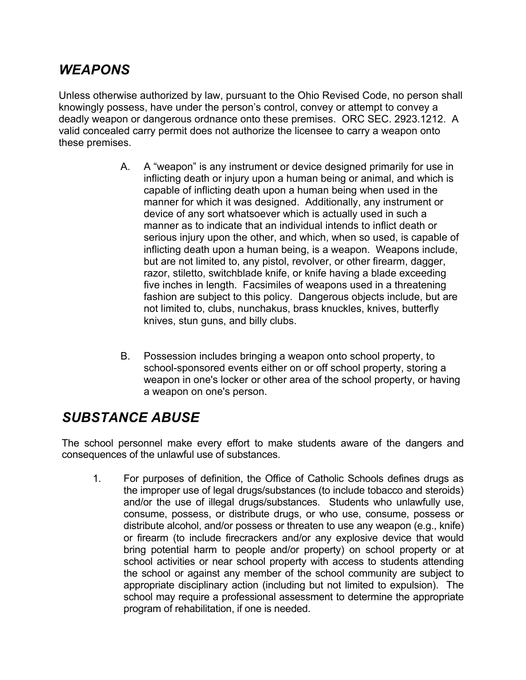## *WEAPONS*

Unless otherwise authorized by law, pursuant to the Ohio Revised Code, no person shall knowingly possess, have under the person's control, convey or attempt to convey a deadly weapon or dangerous ordnance onto these premises. ORC SEC. 2923.1212. A valid concealed carry permit does not authorize the licensee to carry a weapon onto these premises.

- A. A "weapon" is any instrument or device designed primarily for use in inflicting death or injury upon a human being or animal, and which is capable of inflicting death upon a human being when used in the manner for which it was designed. Additionally, any instrument or device of any sort whatsoever which is actually used in such a manner as to indicate that an individual intends to inflict death or serious injury upon the other, and which, when so used, is capable of inflicting death upon a human being, is a weapon. Weapons include, but are not limited to, any pistol, revolver, or other firearm, dagger, razor, stiletto, switchblade knife, or knife having a blade exceeding five inches in length. Facsimiles of weapons used in a threatening fashion are subject to this policy. Dangerous objects include, but are not limited to, clubs, nunchakus, brass knuckles, knives, butterfly knives, stun guns, and billy clubs.
- B. Possession includes bringing a weapon onto school property, to school-sponsored events either on or off school property, storing a weapon in one's locker or other area of the school property, or having a weapon on one's person.

# *SUBSTANCE ABUSE*

The school personnel make every effort to make students aware of the dangers and consequences of the unlawful use of substances.

1. For purposes of definition, the Office of Catholic Schools defines drugs as the improper use of legal drugs/substances (to include tobacco and steroids) and/or the use of illegal drugs/substances. Students who unlawfully use, consume, possess, or distribute drugs, or who use, consume, possess or distribute alcohol, and/or possess or threaten to use any weapon (e.g., knife) or firearm (to include firecrackers and/or any explosive device that would bring potential harm to people and/or property) on school property or at school activities or near school property with access to students attending the school or against any member of the school community are subject to appropriate disciplinary action (including but not limited to expulsion). The school may require a professional assessment to determine the appropriate program of rehabilitation, if one is needed.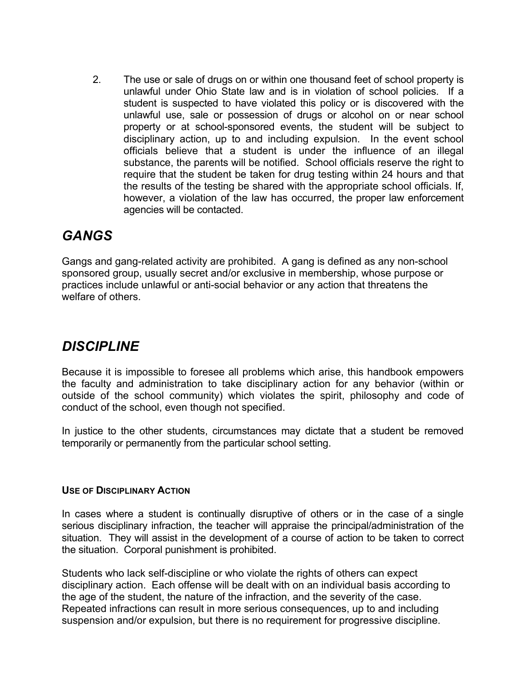2. The use or sale of drugs on or within one thousand feet of school property is unlawful under Ohio State law and is in violation of school policies. If a student is suspected to have violated this policy or is discovered with the unlawful use, sale or possession of drugs or alcohol on or near school property or at school-sponsored events, the student will be subject to disciplinary action, up to and including expulsion. In the event school officials believe that a student is under the influence of an illegal substance, the parents will be notified. School officials reserve the right to require that the student be taken for drug testing within 24 hours and that the results of the testing be shared with the appropriate school officials. If, however, a violation of the law has occurred, the proper law enforcement agencies will be contacted.

### *GANGS*

Gangs and gang-related activity are prohibited. A gang is defined as any non-school sponsored group, usually secret and/or exclusive in membership, whose purpose or practices include unlawful or anti-social behavior or any action that threatens the welfare of others.

# *DISCIPLINE*

Because it is impossible to foresee all problems which arise, this handbook empowers the faculty and administration to take disciplinary action for any behavior (within or outside of the school community) which violates the spirit, philosophy and code of conduct of the school, even though not specified.

In justice to the other students, circumstances may dictate that a student be removed temporarily or permanently from the particular school setting.

#### **USE OF DISCIPLINARY ACTION**

In cases where a student is continually disruptive of others or in the case of a single serious disciplinary infraction, the teacher will appraise the principal/administration of the situation. They will assist in the development of a course of action to be taken to correct the situation. Corporal punishment is prohibited.

Students who lack self-discipline or who violate the rights of others can expect disciplinary action. Each offense will be dealt with on an individual basis according to the age of the student, the nature of the infraction, and the severity of the case. Repeated infractions can result in more serious consequences, up to and including suspension and/or expulsion, but there is no requirement for progressive discipline.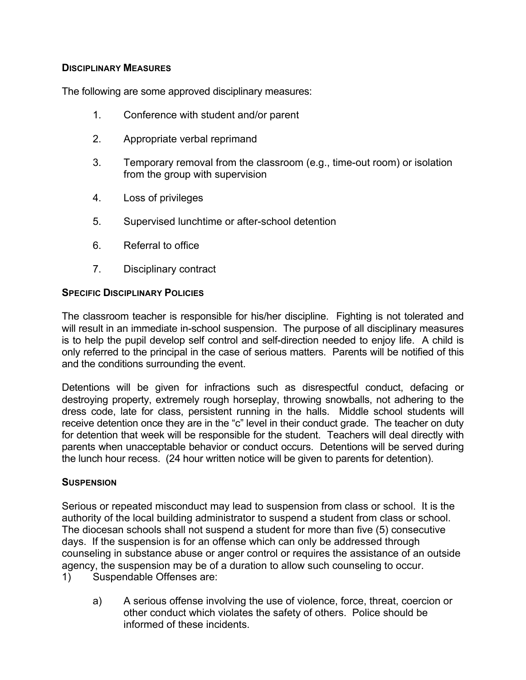#### **DISCIPLINARY MEASURES**

The following are some approved disciplinary measures:

- 1. Conference with student and/or parent
- 2. Appropriate verbal reprimand
- 3. Temporary removal from the classroom (e.g., time-out room) or isolation from the group with supervision
- 4. Loss of privileges
- 5. Supervised lunchtime or after-school detention
- 6. Referral to office
- 7. Disciplinary contract

#### **SPECIFIC DISCIPLINARY POLICIES**

The classroom teacher is responsible for his/her discipline. Fighting is not tolerated and will result in an immediate in-school suspension. The purpose of all disciplinary measures is to help the pupil develop self control and self-direction needed to enjoy life. A child is only referred to the principal in the case of serious matters. Parents will be notified of this and the conditions surrounding the event.

Detentions will be given for infractions such as disrespectful conduct, defacing or destroying property, extremely rough horseplay, throwing snowballs, not adhering to the dress code, late for class, persistent running in the halls. Middle school students will receive detention once they are in the "c" level in their conduct grade. The teacher on duty for detention that week will be responsible for the student. Teachers will deal directly with parents when unacceptable behavior or conduct occurs. Detentions will be served during the lunch hour recess. (24 hour written notice will be given to parents for detention).

#### **SUSPENSION**

Serious or repeated misconduct may lead to suspension from class or school. It is the authority of the local building administrator to suspend a student from class or school. The diocesan schools shall not suspend a student for more than five (5) consecutive days. If the suspension is for an offense which can only be addressed through counseling in substance abuse or anger control or requires the assistance of an outside agency, the suspension may be of a duration to allow such counseling to occur.

- 1) Suspendable Offenses are:
	- a) A serious offense involving the use of violence, force, threat, coercion or other conduct which violates the safety of others. Police should be informed of these incidents.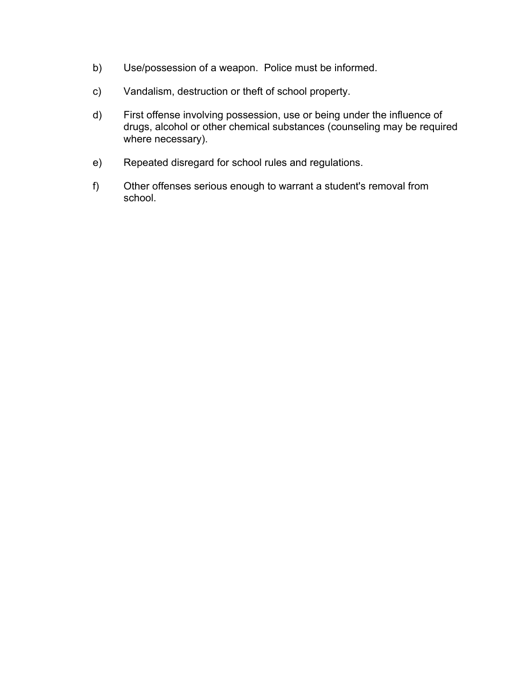- b) Use/possession of a weapon. Police must be informed.
- c) Vandalism, destruction or theft of school property.
- d) First offense involving possession, use or being under the influence of drugs, alcohol or other chemical substances (counseling may be required where necessary).
- e) Repeated disregard for school rules and regulations.
- f) Other offenses serious enough to warrant a student's removal from school.